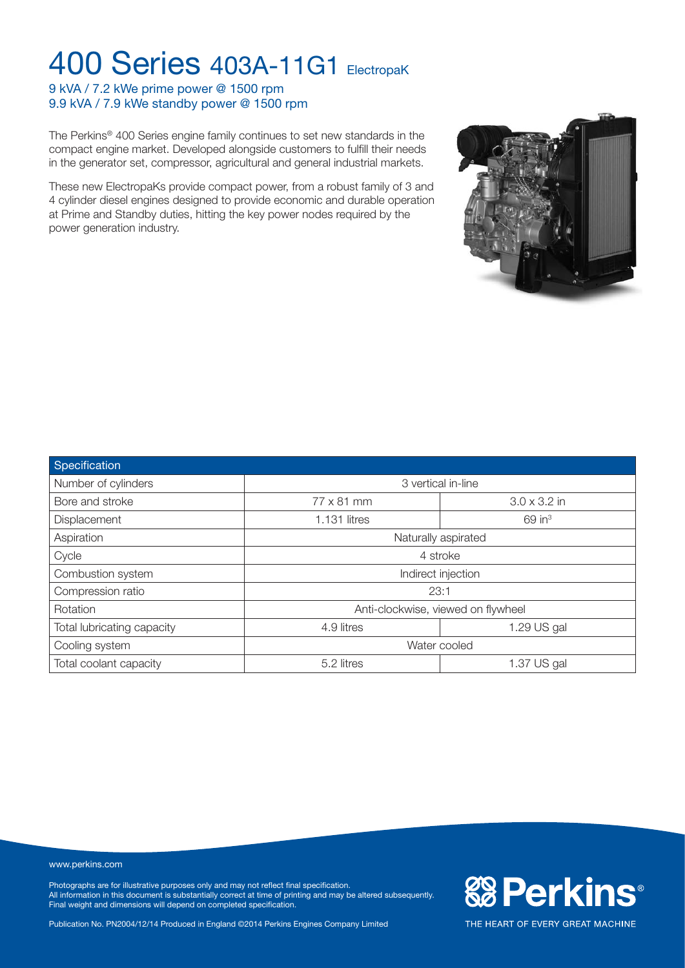9 kVA / 7.2 kWe prime power @ 1500 rpm 9.9 kVA / 7.9 kWe standby power @ 1500 rpm

The Perkins® 400 Series engine family continues to set new standards in the compact engine market. Developed alongside customers to fulfill their needs in the generator set, compressor, agricultural and general industrial markets.

These new ElectropaKs provide compact power, from a robust family of 3 and 4 cylinder diesel engines designed to provide economic and durable operation at Prime and Standby duties, hitting the key power nodes required by the power generation industry.



#### www.perkins.com

Photographs are for illustrative purposes only and may not reflect final specification. All information in this document is substantially correct at time of printing and may be altered subsequently. Final weight and dimensions will depend on completed specification.

Publication No. PN2004/12/14 Produced in England ©2014 Perkins Engines Company Limited



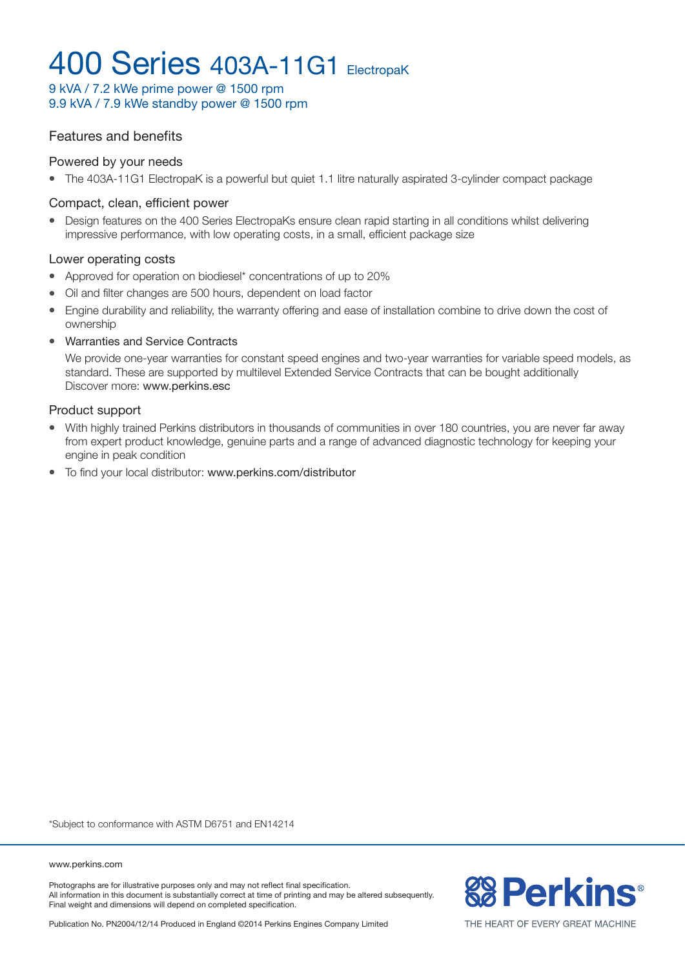9 kVA / 7.2 kWe prime power @ 1500 rpm 9.9 kVA / 7.9 kWe standby power @ 1500 rpm

#### Features and benefits

#### Powered by your needs

• The 403A-11G1 ElectropaK is a powerful but quiet 1.1 litre naturally aspirated 3-cylinder compact package

#### Compact, clean, efficient power

• Design features on the 400 Series ElectropaKs ensure clean rapid starting in all conditions whilst delivering impressive performance, with low operating costs, in a small, efficient package size

#### Lower operating costs

- Approved for operation on biodiesel\* concentrations of up to 20%
- Oil and filter changes are 500 hours, dependent on load factor
- Engine durability and reliability, the warranty offering and ease of installation combine to drive down the cost of ownership
- Warranties and Service Contracts

We provide one-year warranties for constant speed engines and two-year warranties for variable speed models, as standard. These are supported by multilevel Extended Service Contracts that can be bought additionally Discover more: www.perkins.esc

#### Product support

- With highly trained Perkins distributors in thousands of communities in over 180 countries, you are never far away from expert product knowledge, genuine parts and a range of advanced diagnostic technology for keeping your engine in peak condition
- To find your local distributor: www.perkins.com/distributor

\*Subject to conformance with ASTM D6751 and EN14214

www.perkins.com

Photographs are for illustrative purposes only and may not reflect final specification. All information in this document is substantially correct at time of printing and may be altered subsequently. Final weight and dimensions will depend on completed specification.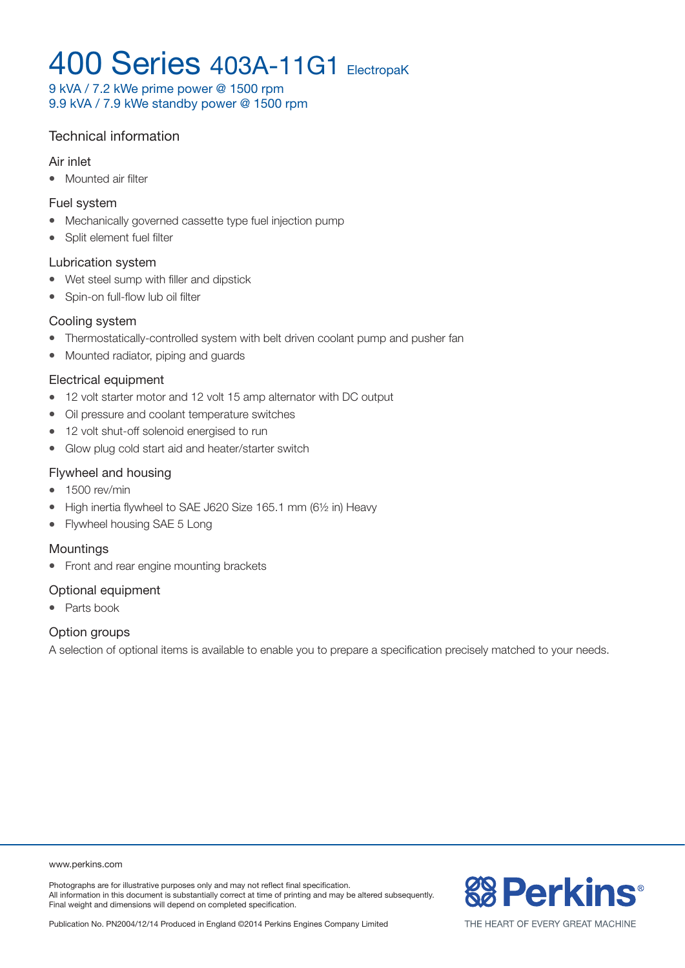9 kVA / 7.2 kWe prime power @ 1500 rpm 9.9 kVA / 7.9 kWe standby power @ 1500 rpm

### Technical information

#### Air inlet

• Mounted air filter

#### Fuel system

- Mechanically governed cassette type fuel injection pump
- Split element fuel filter

#### Lubrication system

- Wet steel sump with filler and dipstick
- Spin-on full-flow lub oil filter

#### Cooling system

- Thermostatically-controlled system with belt driven coolant pump and pusher fan
- Mounted radiator, piping and guards

#### Electrical equipment

- 12 volt starter motor and 12 volt 15 amp alternator with DC output
- Oil pressure and coolant temperature switches
- 12 volt shut-off solenoid energised to run
- Glow plug cold start aid and heater/starter switch

#### Flywheel and housing

- $\bullet$  1500 rev/min
- High inertia flywheel to SAE J620 Size 165.1 mm (61/2 in) Heavy
- Flywheel housing SAE 5 Long

#### Mountings

• Front and rear engine mounting brackets

#### Optional equipment

• Parts book

#### Option groups

A selection of optional items is available to enable you to prepare a specification precisely matched to your needs.

Photographs are for illustrative purposes only and may not reflect final specification. All information in this document is substantially correct at time of printing and may be altered subsequently. Final weight and dimensions will depend on completed specification.



Publication No. PN2004/12/14 Produced in England ©2014 Perkins Engines Company Limited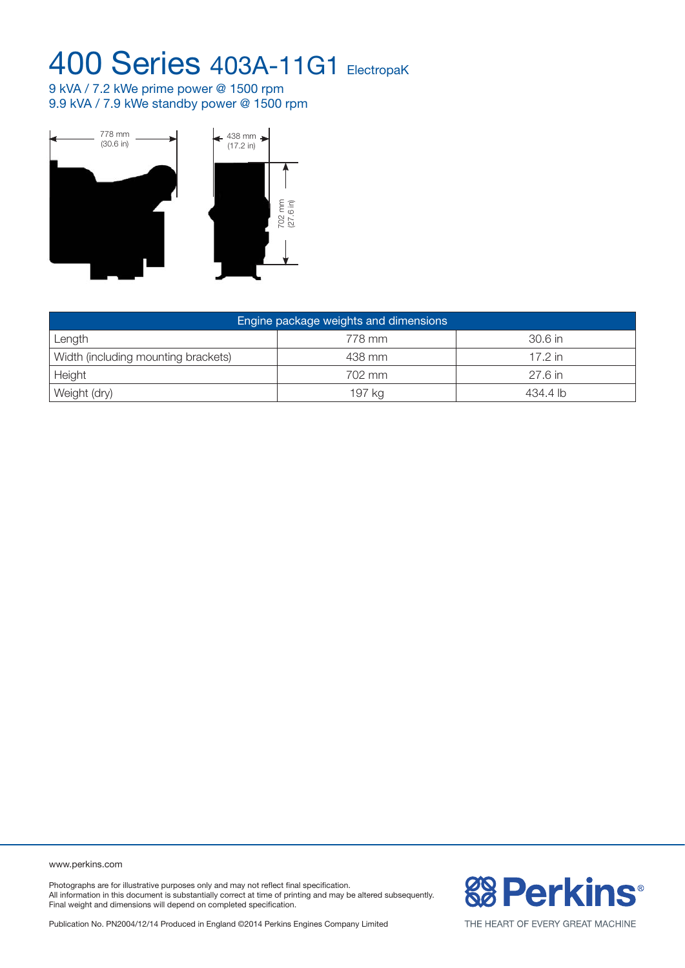9 kVA / 7.2 kWe prime power @ 1500 rpm 9.9 kVA / 7.9 kWe standby power @ 1500 rpm



| Engine package weights and dimensions |        |           |  |  |  |  |
|---------------------------------------|--------|-----------|--|--|--|--|
| Length                                | 778 mm | $30.6$ in |  |  |  |  |
| Width (including mounting brackets)   | 438 mm | 17.2 in   |  |  |  |  |
| Height                                | 702 mm | $27.6$ in |  |  |  |  |
| Weight (dry)                          | 197 kg | 434.4 lb  |  |  |  |  |

www.perkins.com

Photographs are for illustrative purposes only and may not reflect final specification. All information in this document is substantially correct at time of printing and may be altered subsequently. Final weight and dimensions will depend on completed specification.

Publication No. PN2004/12/14 Produced in England ©2014 Perkins Engines Company Limited